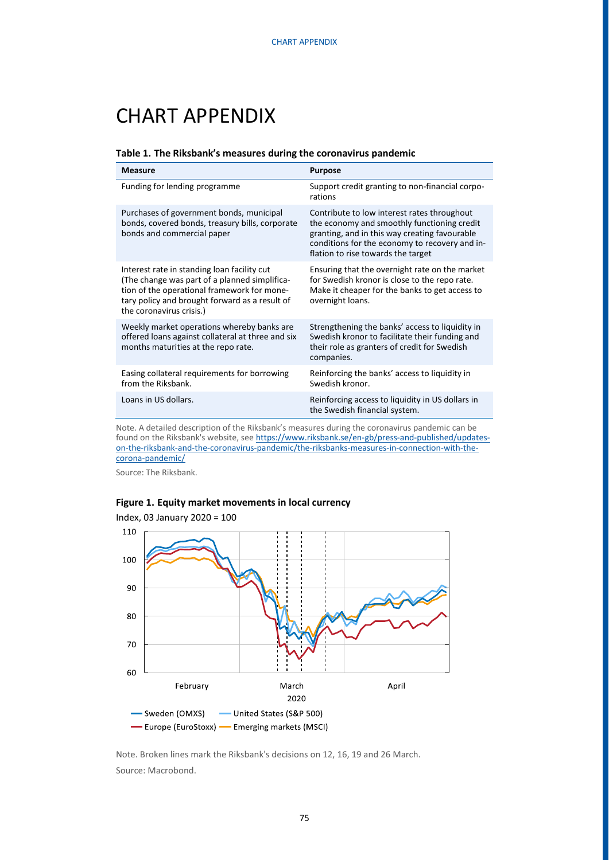# CHART APPENDIX

#### **Table 1. The Riksbank's measures during the coronavirus pandemic**

| <b>Measure</b>                                                                                                                                                                                                            | <b>Purpose</b>                                                                                                                                                                                                                      |
|---------------------------------------------------------------------------------------------------------------------------------------------------------------------------------------------------------------------------|-------------------------------------------------------------------------------------------------------------------------------------------------------------------------------------------------------------------------------------|
| Funding for lending programme                                                                                                                                                                                             | Support credit granting to non-financial corpo-<br>rations                                                                                                                                                                          |
| Purchases of government bonds, municipal<br>bonds, covered bonds, treasury bills, corporate<br>bonds and commercial paper                                                                                                 | Contribute to low interest rates throughout<br>the economy and smoothly functioning credit<br>granting, and in this way creating favourable<br>conditions for the economy to recovery and in-<br>flation to rise towards the target |
| Interest rate in standing loan facility cut<br>(The change was part of a planned simplifica-<br>tion of the operational framework for mone-<br>tary policy and brought forward as a result of<br>the coronavirus crisis.) | Ensuring that the overnight rate on the market<br>for Swedish kronor is close to the repo rate.<br>Make it cheaper for the banks to get access to<br>overnight loans.                                                               |
| Weekly market operations whereby banks are<br>offered loans against collateral at three and six<br>months maturities at the repo rate.                                                                                    | Strengthening the banks' access to liquidity in<br>Swedish kronor to facilitate their funding and<br>their role as granters of credit for Swedish<br>companies.                                                                     |
| Easing collateral requirements for borrowing<br>from the Riksbank.                                                                                                                                                        | Reinforcing the banks' access to liquidity in<br>Swedish kronor.                                                                                                                                                                    |
| Loans in US dollars.                                                                                                                                                                                                      | Reinforcing access to liquidity in US dollars in<br>the Swedish financial system.                                                                                                                                                   |

Note. A detailed description of the Riksbank's measures during the coronavirus pandemic can be found on the Riksbank's website, se[e https://www.riksbank.se/en-gb/press-and-published/updates](https://www.riksbank.se/en-gb/press-and-published/updates-on-the-riksbank-and-the-coronavirus-pandemic/the-riksbanks-measures-in-connection-with-the-corona-pandemic/)[on-the-riksbank-and-the-coronavirus-pandemic/the-riksbanks-measures-in-connection-with-the](https://www.riksbank.se/en-gb/press-and-published/updates-on-the-riksbank-and-the-coronavirus-pandemic/the-riksbanks-measures-in-connection-with-the-corona-pandemic/)[corona-pandemic/](https://www.riksbank.se/en-gb/press-and-published/updates-on-the-riksbank-and-the-coronavirus-pandemic/the-riksbanks-measures-in-connection-with-the-corona-pandemic/)

Source: The Riksbank.

### **Figure 1. Equity market movements in local currency**



Note. Broken lines mark the Riksbank's decisions on 12, 16, 19 and 26 March. Source: Macrobond.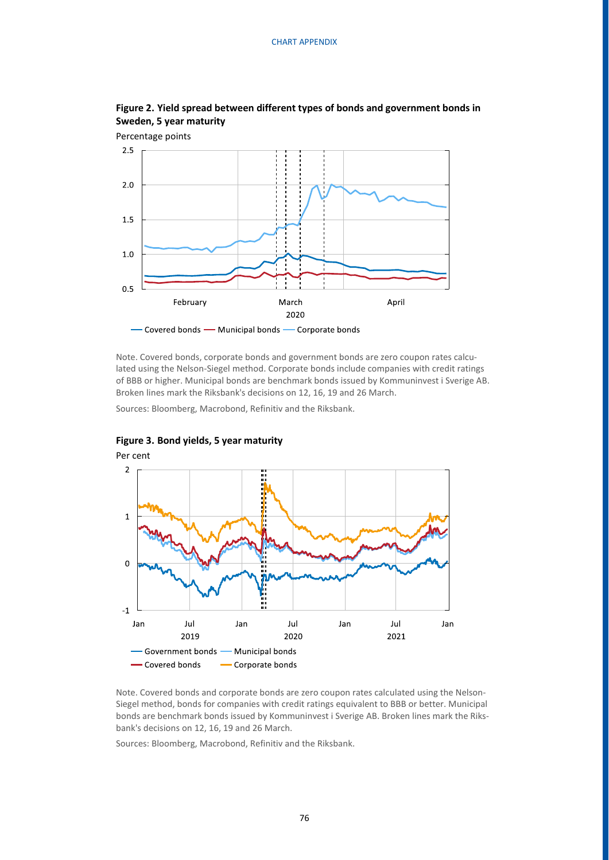

## **Figure 2. Yield spread between different types of bonds and government bonds in Sweden, 5 year maturity**

Note. Covered bonds, corporate bonds and government bonds are zero coupon rates calculated using the Nelson-Siegel method. Corporate bonds include companies with credit ratings of BBB or higher. Municipal bonds are benchmark bonds issued by Kommuninvest i Sverige AB. Broken lines mark the Riksbank's decisions on 12, 16, 19 and 26 March.

Sources: Bloomberg, Macrobond, Refinitiv and the Riksbank.



### **Figure 3. Bond yields, 5 year maturity**

Note. Covered bonds and corporate bonds are zero coupon rates calculated using the Nelson-Siegel method, bonds for companies with credit ratings equivalent to BBB or better. Municipal bonds are benchmark bonds issued by Kommuninvest i Sverige AB. Broken lines mark the Riksbank's decisions on 12, 16, 19 and 26 March.

Sources: Bloomberg, Macrobond, Refinitiv and the Riksbank.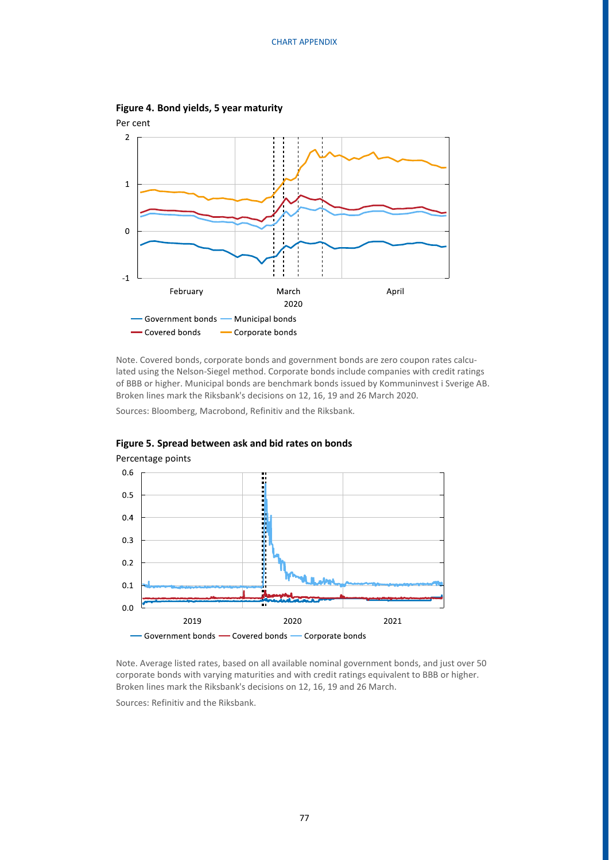

**Figure 4. Bond yields, 5 year maturity**

Note. Covered bonds, corporate bonds and government bonds are zero coupon rates calculated using the Nelson-Siegel method. Corporate bonds include companies with credit ratings of BBB or higher. Municipal bonds are benchmark bonds issued by Kommuninvest i Sverige AB. Broken lines mark the Riksbank's decisions on 12, 16, 19 and 26 March 2020.

Sources: Bloomberg, Macrobond, Refinitiv and the Riksbank.



**Figure 5. Spread between ask and bid rates on bonds**

Note. Average listed rates, based on all available nominal government bonds, and just over 50 corporate bonds with varying maturities and with credit ratings equivalent to BBB or higher. Broken lines mark the Riksbank's decisions on 12, 16, 19 and 26 March.

Sources: Refinitiv and the Riksbank.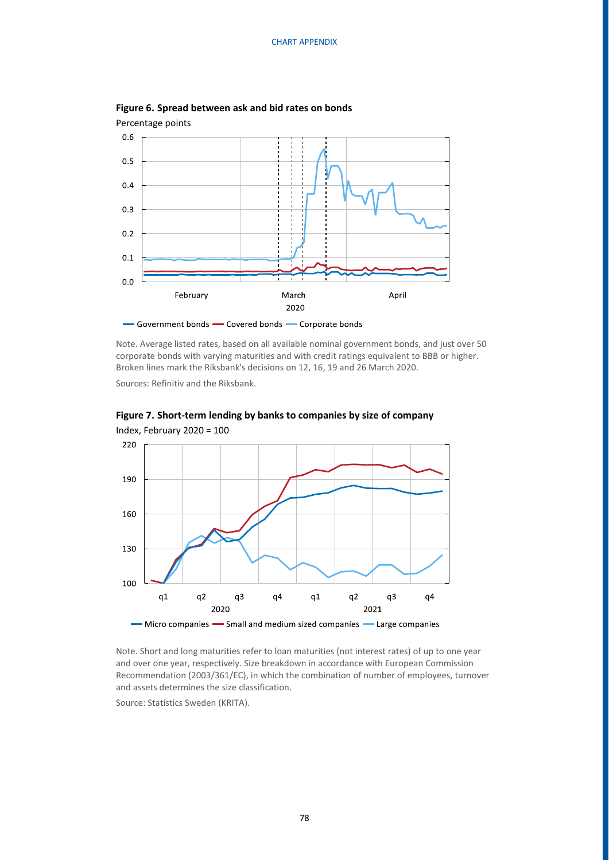

**Figure 6. Spread between ask and bid rates on bonds**

- Government bonds - Covered bonds - Corporate bonds

Note. Average listed rates, based on all available nominal government bonds, and just over 50 corporate bonds with varying maturities and with credit ratings equivalent to BBB or higher. Broken lines mark the Riksbank's decisions on 12, 16, 19 and 26 March 2020.

Sources: Refinitiv and the Riksbank.



**Figure 7. Short-term lending by banks to companies by size of company** 

Note. Short and long maturities refer to loan maturities (not interest rates) of up to one year and over one year, respectively. Size breakdown in accordance with European Commission Recommendation (2003/361/EC), in which the combination of number of employees, turnover and assets determines the size classification.

Source: Statistics Sweden (KRITA).